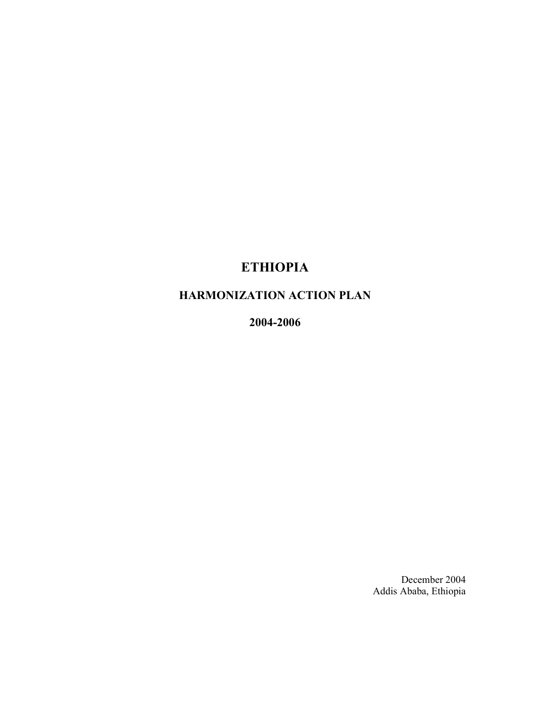# ETHIOPIA

# HARMONIZATION ACTION PLAN

2004-2006

December 2004 Addis Ababa, Ethiopia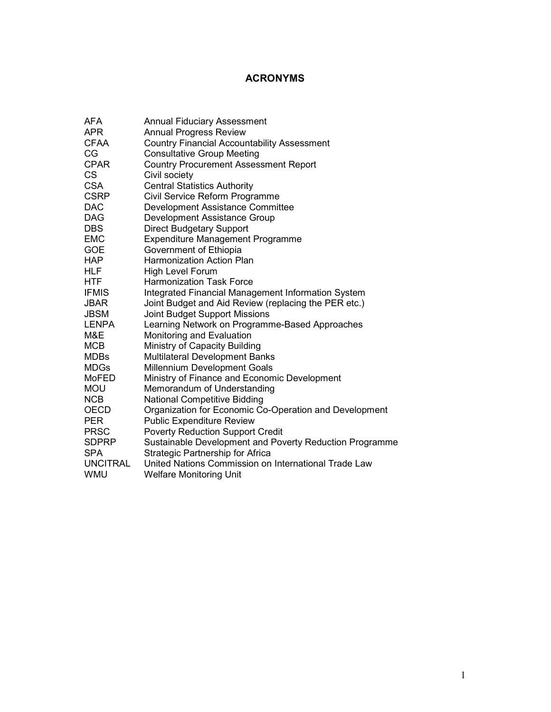# ACRONYMS

| AFA             | <b>Annual Fiduciary Assessment</b>                      |
|-----------------|---------------------------------------------------------|
| <b>APR</b>      | <b>Annual Progress Review</b>                           |
| <b>CFAA</b>     | <b>Country Financial Accountability Assessment</b>      |
| СG              | <b>Consultative Group Meeting</b>                       |
| <b>CPAR</b>     | <b>Country Procurement Assessment Report</b>            |
| CS              | Civil society                                           |
| <b>CSA</b>      | <b>Central Statistics Authority</b>                     |
| <b>CSRP</b>     | Civil Service Reform Programme                          |
| <b>DAC</b>      | Development Assistance Committee                        |
| DAG             | Development Assistance Group                            |
| <b>DBS</b>      | <b>Direct Budgetary Support</b>                         |
| <b>EMC</b>      | <b>Expenditure Management Programme</b>                 |
| <b>GOE</b>      | Government of Ethiopia                                  |
| <b>HAP</b>      | <b>Harmonization Action Plan</b>                        |
| HLF             | High Level Forum                                        |
| HTF             | <b>Harmonization Task Force</b>                         |
| <b>IFMIS</b>    | Integrated Financial Management Information System      |
| JBAR            | Joint Budget and Aid Review (replacing the PER etc.)    |
| <b>JBSM</b>     | Joint Budget Support Missions                           |
| <b>LENPA</b>    | Learning Network on Programme-Based Approaches          |
| M&E             | Monitoring and Evaluation                               |
| <b>MCB</b>      | Ministry of Capacity Building                           |
| <b>MDBs</b>     | <b>Multilateral Development Banks</b>                   |
| <b>MDGs</b>     | Millennium Development Goals                            |
| MoFED           | Ministry of Finance and Economic Development            |
| <b>MOU</b>      | Memorandum of Understanding                             |
| <b>NCB</b>      | <b>National Competitive Bidding</b>                     |
| <b>OECD</b>     | Organization for Economic Co-Operation and Development  |
| <b>PER</b>      | <b>Public Expenditure Review</b>                        |
| <b>PRSC</b>     | <b>Poverty Reduction Support Credit</b>                 |
| <b>SDPRP</b>    | Sustainable Development and Poverty Reduction Programme |
| <b>SPA</b>      | <b>Strategic Partnership for Africa</b>                 |
| <b>UNCITRAL</b> | United Nations Commission on International Trade Law    |
| WMU             | <b>Welfare Monitoring Unit</b>                          |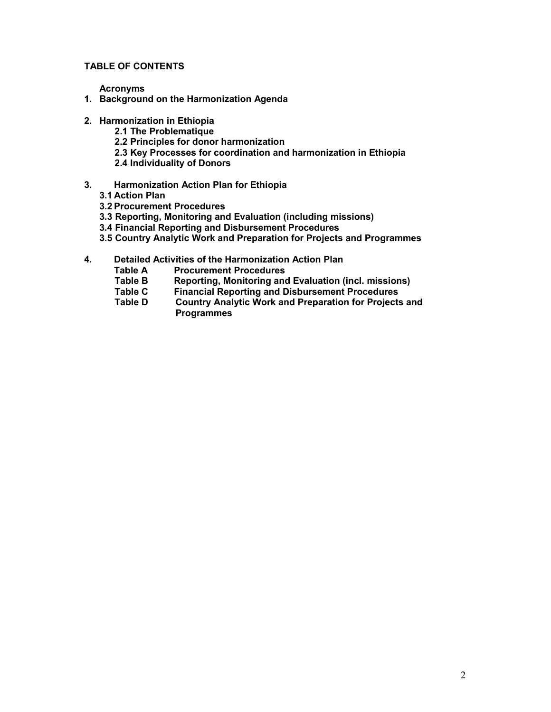#### TABLE OF CONTENTS

Acronyms

- 1. Background on the Harmonization Agenda
- 2. Harmonization in Ethiopia
	- 2.1 The Problematique
	- 2.2 Principles for donor harmonization
	- 2.3 Key Processes for coordination and harmonization in Ethiopia
	- 2.4 Individuality of Donors
- 3. Harmonization Action Plan for Ethiopia
	- 3.1 Action Plan
	- 3.2 Procurement Procedures
	- 3.3 Reporting, Monitoring and Evaluation (including missions)
	- 3.4 Financial Reporting and Disbursement Procedures
	- 3.5 Country Analytic Work and Preparation for Projects and Programmes
- 4. Detailed Activities of the Harmonization Action Plan
	- Table A Procurement Procedures
	- Table B Reporting, Monitoring and Evaluation (incl. missions)<br>Table C Financial Reporting and Disbursement Procedures
	- Table C Financial Reporting and Disbursement Procedures<br>Table D Country Analytic Work and Preparation for Projects
	- Country Analytic Work and Preparation for Projects and **Programmes**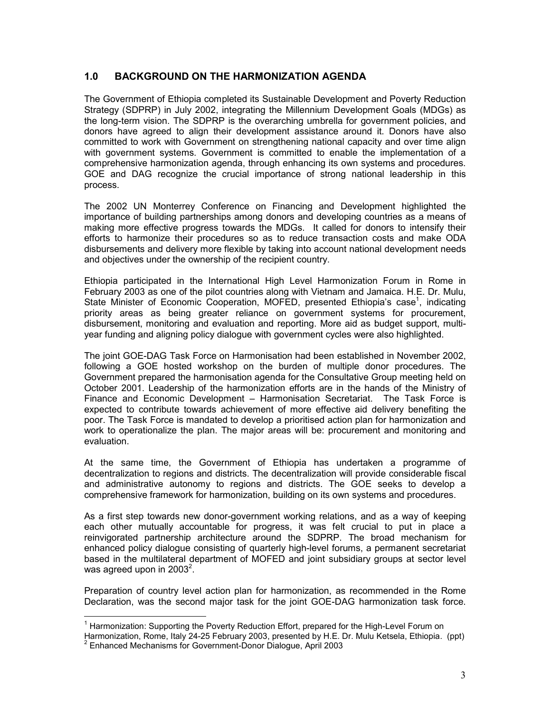## 1.0 BACKGROUND ON THE HARMONIZATION AGENDA

The Government of Ethiopia completed its Sustainable Development and Poverty Reduction Strategy (SDPRP) in July 2002, integrating the Millennium Development Goals (MDGs) as the long-term vision. The SDPRP is the overarching umbrella for government policies, and donors have agreed to align their development assistance around it. Donors have also committed to work with Government on strengthening national capacity and over time align with government systems. Government is committed to enable the implementation of a comprehensive harmonization agenda, through enhancing its own systems and procedures. GOE and DAG recognize the crucial importance of strong national leadership in this process.

The 2002 UN Monterrey Conference on Financing and Development highlighted the importance of building partnerships among donors and developing countries as a means of making more effective progress towards the MDGs. It called for donors to intensify their efforts to harmonize their procedures so as to reduce transaction costs and make ODA disbursements and delivery more flexible by taking into account national development needs and objectives under the ownership of the recipient country.

Ethiopia participated in the International High Level Harmonization Forum in Rome in February 2003 as one of the pilot countries along with Vietnam and Jamaica. H.E. Dr. Mulu, State Minister of Economic Cooperation, MOFED, presented Ethiopia's case<sup>1</sup>, indicating priority areas as being greater reliance on government systems for procurement, disbursement, monitoring and evaluation and reporting. More aid as budget support, multiyear funding and aligning policy dialogue with government cycles were also highlighted.

The joint GOE-DAG Task Force on Harmonisation had been established in November 2002, following a GOE hosted workshop on the burden of multiple donor procedures. The Government prepared the harmonisation agenda for the Consultative Group meeting held on October 2001. Leadership of the harmonization efforts are in the hands of the Ministry of Finance and Economic Development – Harmonisation Secretariat. The Task Force is expected to contribute towards achievement of more effective aid delivery benefiting the poor. The Task Force is mandated to develop a prioritised action plan for harmonization and work to operationalize the plan. The major areas will be: procurement and monitoring and evaluation.

At the same time, the Government of Ethiopia has undertaken a programme of decentralization to regions and districts. The decentralization will provide considerable fiscal and administrative autonomy to regions and districts. The GOE seeks to develop a comprehensive framework for harmonization, building on its own systems and procedures.

As a first step towards new donor-government working relations, and as a way of keeping each other mutually accountable for progress, it was felt crucial to put in place a reinvigorated partnership architecture around the SDPRP. The broad mechanism for enhanced policy dialogue consisting of quarterly high-level forums, a permanent secretariat based in the multilateral department of MOFED and joint subsidiary groups at sector level was agreed upon in 2003<sup>2</sup>.

Preparation of country level action plan for harmonization, as recommended in the Rome Declaration, was the second major task for the joint GOE-DAG harmonization task force.

<sup>-</sup><sup>1</sup> Harmonization: Supporting the Poverty Reduction Effort, prepared for the High-Level Forum on

Harmonization, Rome, Italy 24-25 February 2003, presented by H.E. Dr. Mulu Ketsela, Ethiopia. (ppt) <sup>2</sup> Enhanced Mechanisms for Government-Donor Dialogue, April 2003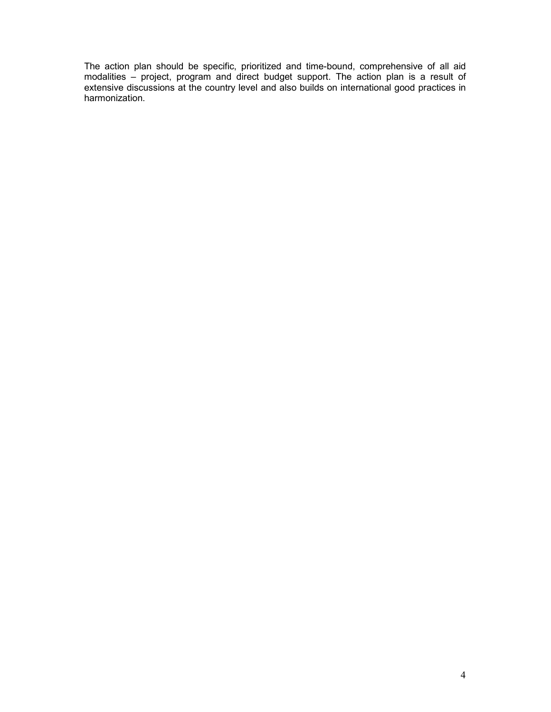The action plan should be specific, prioritized and time-bound, comprehensive of all aid modalities – project, program and direct budget support. The action plan is a result of extensive discussions at the country level and also builds on international good practices in harmonization.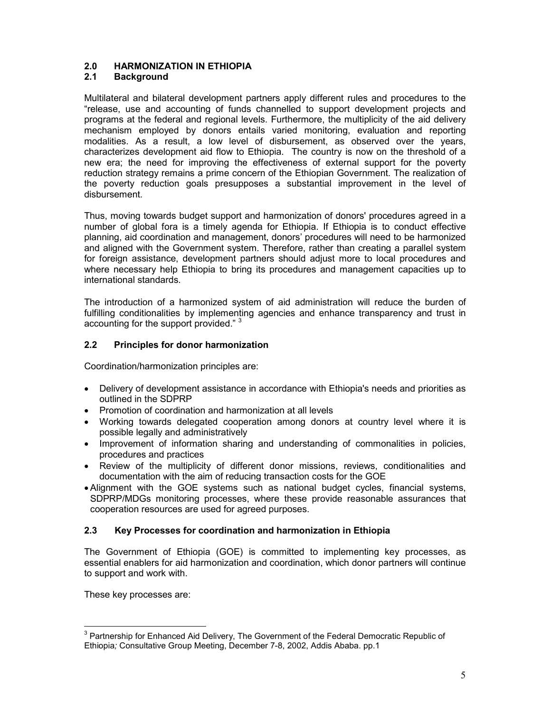## 2.0 HARMONIZATION IN ETHIOPIA

### 2.1 Background

Multilateral and bilateral development partners apply different rules and procedures to the "release, use and accounting of funds channelled to support development projects and programs at the federal and regional levels. Furthermore, the multiplicity of the aid delivery mechanism employed by donors entails varied monitoring, evaluation and reporting modalities. As a result, a low level of disbursement, as observed over the years, characterizes development aid flow to Ethiopia. The country is now on the threshold of a new era; the need for improving the effectiveness of external support for the poverty reduction strategy remains a prime concern of the Ethiopian Government. The realization of the poverty reduction goals presupposes a substantial improvement in the level of disbursement.

Thus, moving towards budget support and harmonization of donors' procedures agreed in a number of global fora is a timely agenda for Ethiopia. If Ethiopia is to conduct effective planning, aid coordination and management, donors' procedures will need to be harmonized and aligned with the Government system. Therefore, rather than creating a parallel system for foreign assistance, development partners should adjust more to local procedures and where necessary help Ethiopia to bring its procedures and management capacities up to international standards.

The introduction of a harmonized system of aid administration will reduce the burden of fulfilling conditionalities by implementing agencies and enhance transparency and trust in accounting for the support provided."<sup>3</sup>

#### 2.2 Principles for donor harmonization

Coordination/harmonization principles are:

- Delivery of development assistance in accordance with Ethiopia's needs and priorities as outlined in the SDPRP
- Promotion of coordination and harmonization at all levels
- Working towards delegated cooperation among donors at country level where it is possible legally and administratively
- Improvement of information sharing and understanding of commonalities in policies, procedures and practices
- Review of the multiplicity of different donor missions, reviews, conditionalities and documentation with the aim of reducing transaction costs for the GOE
- Alignment with the GOE systems such as national budget cycles, financial systems, SDPRP/MDGs monitoring processes, where these provide reasonable assurances that cooperation resources are used for agreed purposes.

#### 2.3 Key Processes for coordination and harmonization in Ethiopia

The Government of Ethiopia (GOE) is committed to implementing key processes, as essential enablers for aid harmonization and coordination, which donor partners will continue to support and work with.

These key processes are:

 3 Partnership for Enhanced Aid Delivery, The Government of the Federal Democratic Republic of Ethiopia; Consultative Group Meeting, December 7-8, 2002, Addis Ababa. pp.1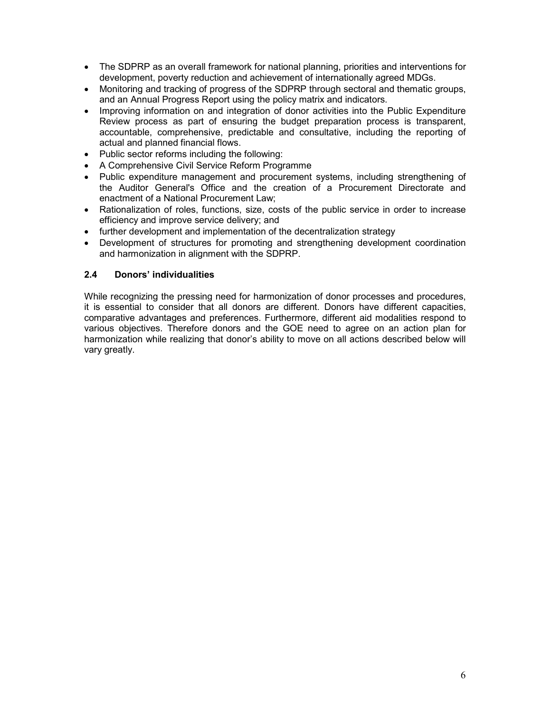- The SDPRP as an overall framework for national planning, priorities and interventions for development, poverty reduction and achievement of internationally agreed MDGs.
- Monitoring and tracking of progress of the SDPRP through sectoral and thematic groups, and an Annual Progress Report using the policy matrix and indicators.
- Improving information on and integration of donor activities into the Public Expenditure Review process as part of ensuring the budget preparation process is transparent, accountable, comprehensive, predictable and consultative, including the reporting of actual and planned financial flows.
- Public sector reforms including the following:
- A Comprehensive Civil Service Reform Programme
- Public expenditure management and procurement systems, including strengthening of the Auditor General's Office and the creation of a Procurement Directorate and enactment of a National Procurement Law;
- Rationalization of roles, functions, size, costs of the public service in order to increase efficiency and improve service delivery; and
- further development and implementation of the decentralization strategy
- Development of structures for promoting and strengthening development coordination and harmonization in alignment with the SDPRP.

#### 2.4 Donors' individualities

While recognizing the pressing need for harmonization of donor processes and procedures, it is essential to consider that all donors are different. Donors have different capacities, comparative advantages and preferences. Furthermore, different aid modalities respond to various objectives. Therefore donors and the GOE need to agree on an action plan for harmonization while realizing that donor's ability to move on all actions described below will vary greatly.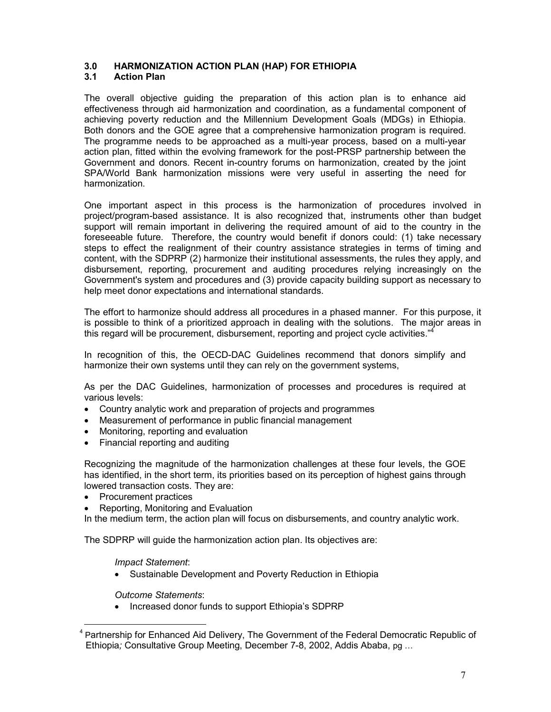#### 3.0 HARMONIZATION ACTION PLAN (HAP) FOR ETHIOPIA

### 3.1 Action Plan

The overall objective guiding the preparation of this action plan is to enhance aid effectiveness through aid harmonization and coordination, as a fundamental component of achieving poverty reduction and the Millennium Development Goals (MDGs) in Ethiopia. Both donors and the GOE agree that a comprehensive harmonization program is required. The programme needs to be approached as a multi-year process, based on a multi-year action plan, fitted within the evolving framework for the post-PRSP partnership between the Government and donors. Recent in-country forums on harmonization, created by the joint SPA/World Bank harmonization missions were very useful in asserting the need for harmonization.

One important aspect in this process is the harmonization of procedures involved in project/program-based assistance. It is also recognized that, instruments other than budget support will remain important in delivering the required amount of aid to the country in the foreseeable future. Therefore, the country would benefit if donors could: (1) take necessary steps to effect the realignment of their country assistance strategies in terms of timing and content, with the SDPRP (2) harmonize their institutional assessments, the rules they apply, and disbursement, reporting, procurement and auditing procedures relying increasingly on the Government's system and procedures and (3) provide capacity building support as necessary to help meet donor expectations and international standards.

The effort to harmonize should address all procedures in a phased manner. For this purpose, it is possible to think of a prioritized approach in dealing with the solutions. The major areas in this regard will be procurement, disbursement, reporting and project cycle activities."

In recognition of this, the OECD-DAC Guidelines recommend that donors simplify and harmonize their own systems until they can rely on the government systems,

As per the DAC Guidelines, harmonization of processes and procedures is required at various levels:

- Country analytic work and preparation of projects and programmes
- Measurement of performance in public financial management
- Monitoring, reporting and evaluation
- Financial reporting and auditing

Recognizing the magnitude of the harmonization challenges at these four levels, the GOE has identified, in the short term, its priorities based on its perception of highest gains through lowered transaction costs. They are:

- Procurement practices
- Reporting, Monitoring and Evaluation

In the medium term, the action plan will focus on disbursements, and country analytic work.

The SDPRP will guide the harmonization action plan. Its objectives are:

Impact Statement:

• Sustainable Development and Poverty Reduction in Ethiopia

Outcome Statements:

• Increased donor funds to support Ethiopia's SDPRP

<sup>-</sup><sup>4</sup> Partnership for Enhanced Aid Delivery, The Government of the Federal Democratic Republic of Ethiopia; Consultative Group Meeting, December 7-8, 2002, Addis Ababa, pg …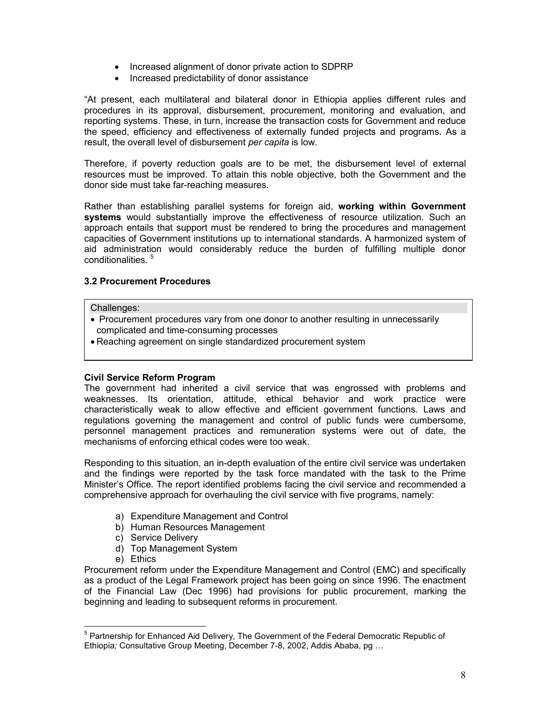- Increased alignment of donor private action to SDPRP
- Increased predictability of donor assistance

"At present, each multilateral and bilateral donor in Ethiopia applies different rules and procedures in its approval, disbursement, procurement, monitoring and evaluation, and reporting systems. These, in turn, increase the transaction costs for Government and reduce the speed, efficiency and effectiveness of externally funded projects and programs. As a result, the overall level of disbursement per capita is low.

Therefore, if poverty reduction goals are to be met, the disbursement level of external resources must be improved. To attain this noble objective, both the Government and the donor side must take far-reaching measures.

Rather than establishing parallel systems for foreign aid, working within Government systems would substantially improve the effectiveness of resource utilization. Such an approach entails that support must be rendered to bring the procedures and management capacities of Government institutions up to international standards. A harmonized system of aid administration would considerably reduce the burden of fulfilling multiple donor conditionalities. <sup>5</sup>

#### 3.2 Procurement Procedures

#### Challenges:

- Procurement procedures vary from one donor to another resulting in unnecessarily complicated and time-consuming processes
- Reaching agreement on single standardized procurement system

#### Civil Service Reform Program

The government had inherited a civil service that was engrossed with problems and weaknesses. Its orientation, attitude, ethical behavior and work practice were characteristically weak to allow effective and efficient government functions. Laws and regulations governing the management and control of public funds were cumbersome, personnel management practices and remuneration systems were out of date, the mechanisms of enforcing ethical codes were too weak.

Responding to this situation, an in-depth evaluation of the entire civil service was undertaken and the findings were reported by the task force mandated with the task to the Prime Minister's Office. The report identified problems facing the civil service and recommended a comprehensive approach for overhauling the civil service with five programs, namely:

- a) Expenditure Management and Control
- b) Human Resources Management
- c) Service Delivery
- d) Top Management System
- e) Ethics

Procurement reform under the Expenditure Management and Control (EMC) and specifically as a product of the Legal Framework project has been going on since 1996. The enactment of the Financial Law (Dec 1996) had provisions for public procurement, marking the beginning and leading to subsequent reforms in procurement.

 5 Partnership for Enhanced Aid Delivery, The Government of the Federal Democratic Republic of Ethiopia; Consultative Group Meeting, December 7-8, 2002, Addis Ababa, pg …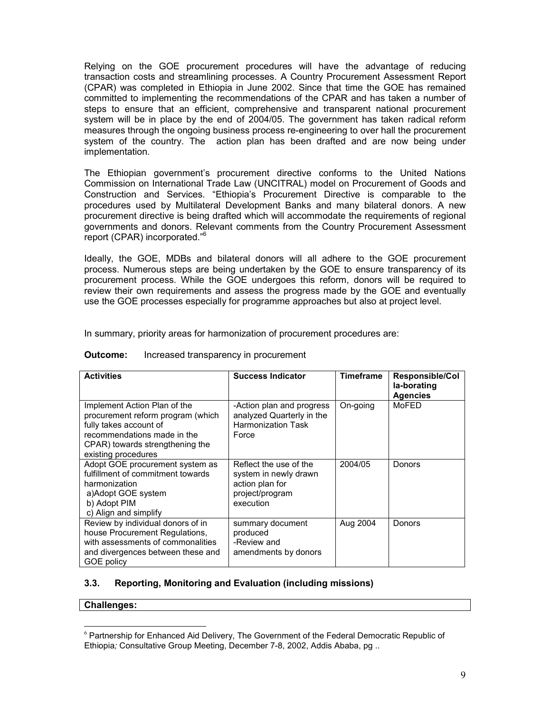Relying on the GOE procurement procedures will have the advantage of reducing transaction costs and streamlining processes. A Country Procurement Assessment Report (CPAR) was completed in Ethiopia in June 2002. Since that time the GOE has remained committed to implementing the recommendations of the CPAR and has taken a number of steps to ensure that an efficient, comprehensive and transparent national procurement system will be in place by the end of 2004/05. The government has taken radical reform measures through the ongoing business process re-engineering to over hall the procurement system of the country. The action plan has been drafted and are now being under implementation.

The Ethiopian government's procurement directive conforms to the United Nations Commission on International Trade Law (UNCITRAL) model on Procurement of Goods and Construction and Services. "Ethiopia's Procurement Directive is comparable to the procedures used by Multilateral Development Banks and many bilateral donors. A new procurement directive is being drafted which will accommodate the requirements of regional governments and donors. Relevant comments from the Country Procurement Assessment report (CPAR) incorporated."<sup>6</sup>

Ideally, the GOE, MDBs and bilateral donors will all adhere to the GOE procurement process. Numerous steps are being undertaken by the GOE to ensure transparency of its procurement process. While the GOE undergoes this reform, donors will be required to review their own requirements and assess the progress made by the GOE and eventually use the GOE processes especially for programme approaches but also at project level.

In summary, priority areas for harmonization of procurement procedures are:

| <b>Activities</b>                                                                                                                                                                    | <b>Success Indicator</b>                                                                           | <b>Timeframe</b> | <b>Responsible/Col</b><br>la-borating<br><b>Agencies</b> |
|--------------------------------------------------------------------------------------------------------------------------------------------------------------------------------------|----------------------------------------------------------------------------------------------------|------------------|----------------------------------------------------------|
| Implement Action Plan of the<br>procurement reform program (which<br>fully takes account of<br>recommendations made in the<br>CPAR) towards strengthening the<br>existing procedures | -Action plan and progress<br>analyzed Quarterly in the<br><b>Harmonization Task</b><br>Force       | On-going         | MoFED                                                    |
| Adopt GOE procurement system as<br>fulfillment of commitment towards<br>harmonization<br>a)Adopt GOE system<br>b) Adopt PIM<br>c) Align and simplify                                 | Reflect the use of the<br>system in newly drawn<br>action plan for<br>project/program<br>execution | 2004/05          | Donors                                                   |
| Review by individual donors of in<br>house Procurement Regulations,<br>with assessments of commonalities<br>and divergences between these and<br>GOE policy                          | summary document<br>produced<br>-Review and<br>amendments by donors                                | Aug 2004         | Donors                                                   |

#### **Outcome:** Increased transparency in procurement

#### 3.3. Reporting, Monitoring and Evaluation (including missions)

#### Challenges:

-

 $6$  Partnership for Enhanced Aid Delivery, The Government of the Federal Democratic Republic of Ethiopia; Consultative Group Meeting, December 7-8, 2002, Addis Ababa, pg ..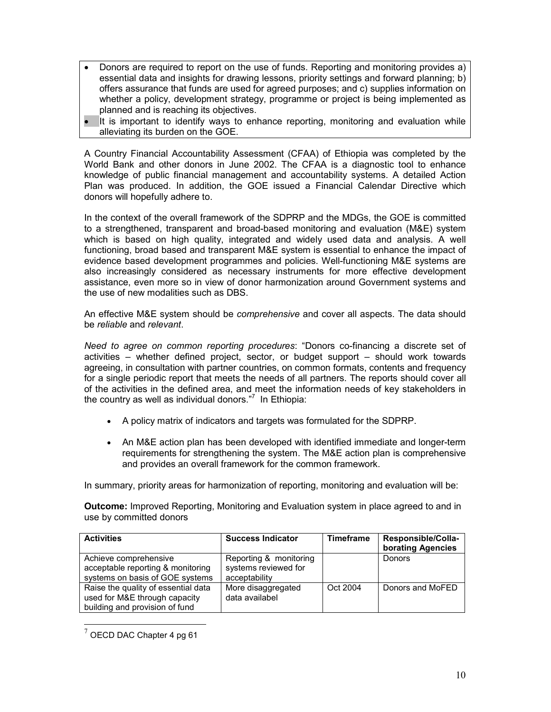- Donors are required to report on the use of funds. Reporting and monitoring provides a) essential data and insights for drawing lessons, priority settings and forward planning; b) offers assurance that funds are used for agreed purposes; and c) supplies information on whether a policy, development strategy, programme or project is being implemented as planned and is reaching its objectives.
- It is important to identify ways to enhance reporting, monitoring and evaluation while alleviating its burden on the GOE.

A Country Financial Accountability Assessment (CFAA) of Ethiopia was completed by the World Bank and other donors in June 2002. The CFAA is a diagnostic tool to enhance knowledge of public financial management and accountability systems. A detailed Action Plan was produced. In addition, the GOE issued a Financial Calendar Directive which donors will hopefully adhere to.

In the context of the overall framework of the SDPRP and the MDGs, the GOE is committed to a strengthened, transparent and broad-based monitoring and evaluation (M&E) system which is based on high quality, integrated and widely used data and analysis. A well functioning, broad based and transparent M&E system is essential to enhance the impact of evidence based development programmes and policies. Well-functioning M&E systems are also increasingly considered as necessary instruments for more effective development assistance, even more so in view of donor harmonization around Government systems and the use of new modalities such as DBS.

An effective M&E system should be comprehensive and cover all aspects. The data should be reliable and relevant.

Need to agree on common reporting procedures: "Donors co-financing a discrete set of activities – whether defined project, sector, or budget support – should work towards agreeing, in consultation with partner countries, on common formats, contents and frequency for a single periodic report that meets the needs of all partners. The reports should cover all of the activities in the defined area, and meet the information needs of key stakeholders in the country as well as individual donors."<sup>7</sup> In Ethiopia:

- A policy matrix of indicators and targets was formulated for the SDPRP.
- An M&E action plan has been developed with identified immediate and longer-term requirements for strengthening the system. The M&E action plan is comprehensive and provides an overall framework for the common framework.

In summary, priority areas for harmonization of reporting, monitoring and evaluation will be:

Outcome: Improved Reporting, Monitoring and Evaluation system in place agreed to and in use by committed donors

| <b>Activities</b>                                                                                      | <b>Success Indicator</b>                                        | <b>Timeframe</b> | Responsible/Colla-<br>borating Agencies |
|--------------------------------------------------------------------------------------------------------|-----------------------------------------------------------------|------------------|-----------------------------------------|
| Achieve comprehensive<br>acceptable reporting & monitoring<br>systems on basis of GOE systems          | Reporting & monitoring<br>systems reviewed for<br>acceptability |                  | Donors                                  |
| Raise the quality of essential data<br>used for M&E through capacity<br>building and provision of fund | More disaggregated<br>data availabel                            | Oct 2004         | Donors and MoFED                        |

 $7$  OECD DAC Chapter 4 pg 61

-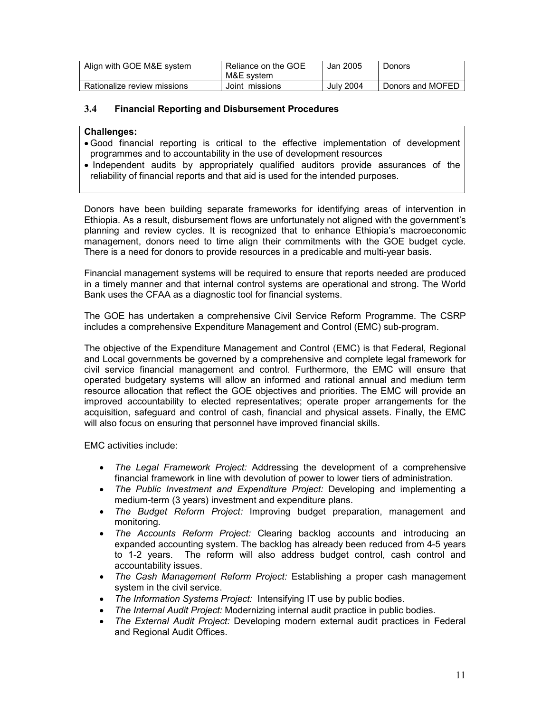| Align with GOE M&E system   | Reliance on the GOE<br>M&E svstem | Jan 2005         | <b>Donors</b>    |
|-----------------------------|-----------------------------------|------------------|------------------|
| Rationalize review missions | Joint missions                    | <b>July 2004</b> | Donors and MOFED |

#### 3.4 Financial Reporting and Disbursement Procedures

#### Challenges:

- Good financial reporting is critical to the effective implementation of development programmes and to accountability in the use of development resources
- Independent audits by appropriately qualified auditors provide assurances of the reliability of financial reports and that aid is used for the intended purposes.

Donors have been building separate frameworks for identifying areas of intervention in Ethiopia. As a result, disbursement flows are unfortunately not aligned with the government's planning and review cycles. It is recognized that to enhance Ethiopia's macroeconomic management, donors need to time align their commitments with the GOE budget cycle. There is a need for donors to provide resources in a predicable and multi-year basis.

Financial management systems will be required to ensure that reports needed are produced in a timely manner and that internal control systems are operational and strong. The World Bank uses the CFAA as a diagnostic tool for financial systems.

The GOE has undertaken a comprehensive Civil Service Reform Programme. The CSRP includes a comprehensive Expenditure Management and Control (EMC) sub-program.

The objective of the Expenditure Management and Control (EMC) is that Federal, Regional and Local governments be governed by a comprehensive and complete legal framework for civil service financial management and control. Furthermore, the EMC will ensure that operated budgetary systems will allow an informed and rational annual and medium term resource allocation that reflect the GOE objectives and priorities. The EMC will provide an improved accountability to elected representatives; operate proper arrangements for the acquisition, safeguard and control of cash, financial and physical assets. Finally, the EMC will also focus on ensuring that personnel have improved financial skills.

EMC activities include:

- The Legal Framework Project: Addressing the development of a comprehensive financial framework in line with devolution of power to lower tiers of administration.
- The Public Investment and Expenditure Project: Developing and implementing a medium-term (3 years) investment and expenditure plans.
- The Budget Reform Project: Improving budget preparation, management and monitoring.
- The Accounts Reform Project: Clearing backlog accounts and introducing an expanded accounting system. The backlog has already been reduced from 4-5 years to 1-2 years. The reform will also address budget control, cash control and accountability issues.
- The Cash Management Reform Project: Establishing a proper cash management system in the civil service.
- The Information Systems Project: Intensifying IT use by public bodies.
- The Internal Audit Project: Modernizing internal audit practice in public bodies.
- The External Audit Project: Developing modern external audit practices in Federal and Regional Audit Offices.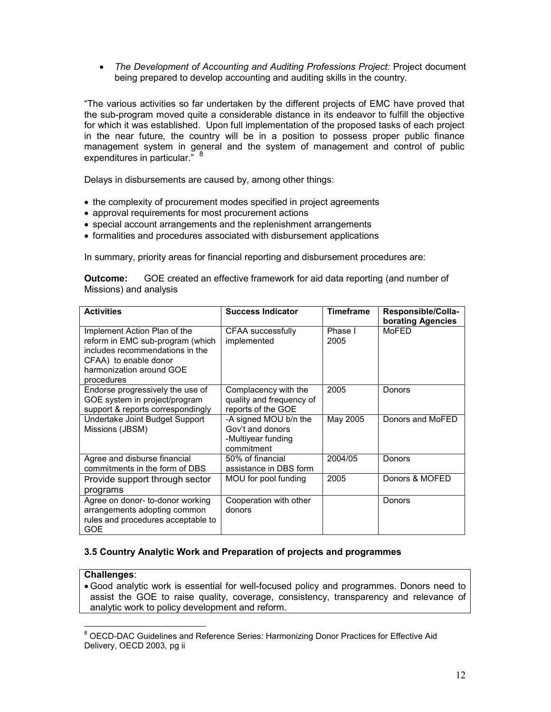• The Development of Accounting and Auditing Professions Project: Project document being prepared to develop accounting and auditing skills in the country.

"The various activities so far undertaken by the different projects of EMC have proved that the sub-program moved quite a considerable distance in its endeavor to fulfill the objective for which it was established. Upon full implementation of the proposed tasks of each project in the near future, the country will be in a position to possess proper public finance management system in general and the system of management and control of public expenditures in particular."<sup>8</sup>

Delays in disbursements are caused by, among other things:

- the complexity of procurement modes specified in project agreements
- approval requirements for most procurement actions
- special account arrangements and the replenishment arrangements
- formalities and procedures associated with disbursement applications

In summary, priority areas for financial reporting and disbursement procedures are:

| Outcome:               | GOE created an effective framework for aid data reporting (and number of |
|------------------------|--------------------------------------------------------------------------|
| Missions) and analysis |                                                                          |

| <b>Activities</b>                                                                                                                                                      | <b>Success Indicator</b>                                                      | Timeframe       | Responsible/Colla-<br>borating Agencies |
|------------------------------------------------------------------------------------------------------------------------------------------------------------------------|-------------------------------------------------------------------------------|-----------------|-----------------------------------------|
| Implement Action Plan of the<br>reform in EMC sub-program (which<br>includes recommendations in the<br>CFAA) to enable donor<br>harmonization around GOE<br>procedures | CFAA successfully<br>implemented                                              | Phase I<br>2005 | MoFED                                   |
| Endorse progressively the use of<br>GOE system in project/program<br>support & reports correspondingly                                                                 | Complacency with the<br>quality and frequency of<br>reports of the GOE        | 2005            | <b>Donors</b>                           |
| Undertake Joint Budget Support<br>Missions (JBSM)                                                                                                                      | -A signed MOU b/n the<br>Gov't and donors<br>-Multiyear funding<br>commitment | May 2005        | Donors and MoFED                        |
| Agree and disburse financial<br>commitments in the form of DBS                                                                                                         | 50% of financial<br>assistance in DBS form                                    | 2004/05         | Donors                                  |
| Provide support through sector<br>programs                                                                                                                             | MOU for pool funding                                                          | 2005            | Donors & MOFED                          |
| Agree on donor- to-donor working<br>arrangements adopting common<br>rules and procedures acceptable to<br>GOE                                                          | Cooperation with other<br>donors                                              |                 | <b>Donors</b>                           |

#### 3.5 Country Analytic Work and Preparation of projects and programmes

#### Challenges:

• Good analytic work is essential for well-focused policy and programmes. Donors need to assist the GOE to raise quality, coverage, consistency, transparency and relevance of analytic work to policy development and reform.

 8 OECD-DAC Guidelines and Reference Series: Harmonizing Donor Practices for Effective Aid Delivery, OECD 2003, pg ii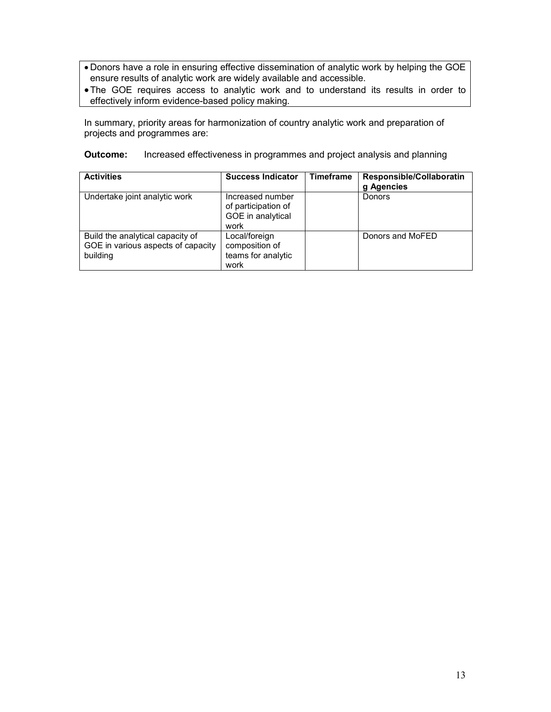- Donors have a role in ensuring effective dissemination of analytic work by helping the GOE ensure results of analytic work are widely available and accessible.
- •The GOE requires access to analytic work and to understand its results in order to effectively inform evidence-based policy making.

In summary, priority areas for harmonization of country analytic work and preparation of projects and programmes are:

**Outcome:** Increased effectiveness in programmes and project analysis and planning

| <b>Activities</b>                                                                  | <b>Success Indicator</b>                                             | <b>Timeframe</b> | Responsible/Collaboratin<br>g Agencies |
|------------------------------------------------------------------------------------|----------------------------------------------------------------------|------------------|----------------------------------------|
| Undertake joint analytic work                                                      | Increased number<br>of participation of<br>GOE in analytical<br>work |                  | Donors                                 |
| Build the analytical capacity of<br>GOE in various aspects of capacity<br>building | Local/foreign<br>composition of<br>teams for analytic<br>work        |                  | Donors and MoFED                       |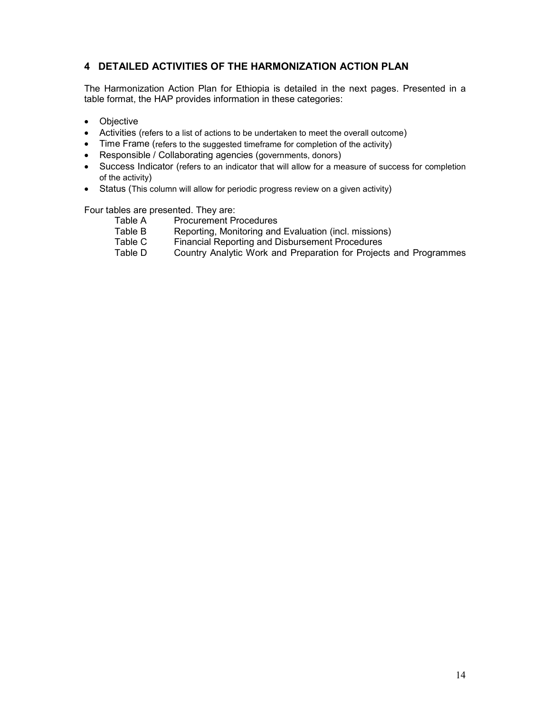# 4 DETAILED ACTIVITIES OF THE HARMONIZATION ACTION PLAN

The Harmonization Action Plan for Ethiopia is detailed in the next pages. Presented in a table format, the HAP provides information in these categories:

- Objective
- Activities (refers to a list of actions to be undertaken to meet the overall outcome)
- Time Frame (refers to the suggested timeframe for completion of the activity)
- Responsible / Collaborating agencies (governments, donors)
- Success Indicator (refers to an indicator that will allow for a measure of success for completion of the activity)
- Status (This column will allow for periodic progress review on a given activity)

Four tables are presented. They are:

- Table A Procurement Procedures<br>Table B Reporting, Monitoring and
	- Reporting, Monitoring and Evaluation (incl. missions)
- Table C Financial Reporting and Disbursement Procedures<br>Table D Country Analytic Work and Preparation for Project
- Country Analytic Work and Preparation for Projects and Programmes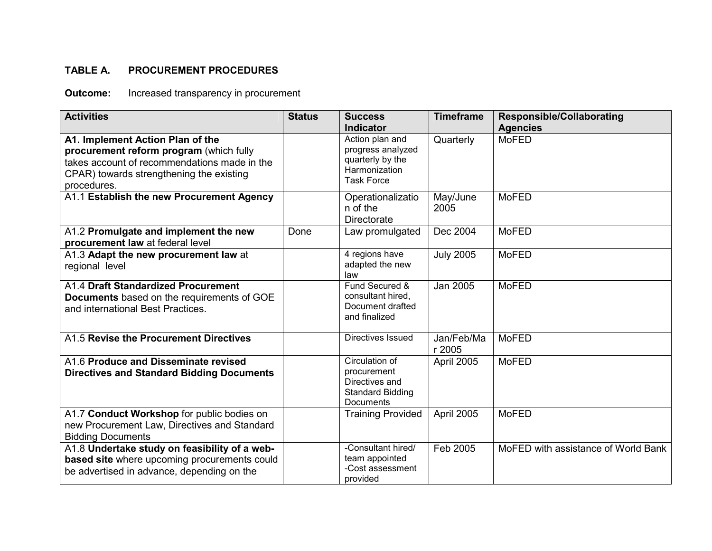# TABLE A. PROCUREMENT PROCEDURES

**Outcome:** Increased transparency in procurement

| <b>Activities</b>                                                                                                                                                                      | <b>Status</b> | <b>Success</b><br><b>Indicator</b>                                                             | <b>Timeframe</b>     | <b>Responsible/Collaborating</b><br><b>Agencies</b> |
|----------------------------------------------------------------------------------------------------------------------------------------------------------------------------------------|---------------|------------------------------------------------------------------------------------------------|----------------------|-----------------------------------------------------|
| A1. Implement Action Plan of the<br>procurement reform program (which fully<br>takes account of recommendations made in the<br>CPAR) towards strengthening the existing<br>procedures. |               | Action plan and<br>progress analyzed<br>quarterly by the<br>Harmonization<br><b>Task Force</b> | Quarterly            | <b>MoFED</b>                                        |
| A1.1 Establish the new Procurement Agency                                                                                                                                              |               | Operationalizatio<br>n of the<br><b>Directorate</b>                                            | May/June<br>2005     | <b>MoFED</b>                                        |
| A1.2 Promulgate and implement the new<br>procurement law at federal level                                                                                                              | Done          | Law promulgated                                                                                | Dec 2004             | <b>MoFED</b>                                        |
| A1.3 Adapt the new procurement law at<br>regional level                                                                                                                                |               | 4 regions have<br>adapted the new<br>law                                                       | <b>July 2005</b>     | <b>MoFED</b>                                        |
| A1.4 Draft Standardized Procurement<br>Documents based on the requirements of GOE<br>and international Best Practices.                                                                 |               | Fund Secured &<br>consultant hired,<br>Document drafted<br>and finalized                       | Jan 2005             | <b>MoFED</b>                                        |
| A1.5 Revise the Procurement Directives                                                                                                                                                 |               | Directives Issued                                                                              | Jan/Feb/Ma<br>r 2005 | <b>MoFED</b>                                        |
| A1.6 Produce and Disseminate revised<br><b>Directives and Standard Bidding Documents</b>                                                                                               |               | Circulation of<br>procurement<br>Directives and<br><b>Standard Bidding</b><br><b>Documents</b> | April 2005           | <b>MoFED</b>                                        |
| A1.7 Conduct Workshop for public bodies on<br>new Procurement Law, Directives and Standard<br><b>Bidding Documents</b>                                                                 |               | <b>Training Provided</b>                                                                       | April 2005           | <b>MoFED</b>                                        |
| A1.8 Undertake study on feasibility of a web-<br>based site where upcoming procurements could<br>be advertised in advance, depending on the                                            |               | -Consultant hired/<br>team appointed<br>-Cost assessment<br>provided                           | Feb 2005             | MoFED with assistance of World Bank                 |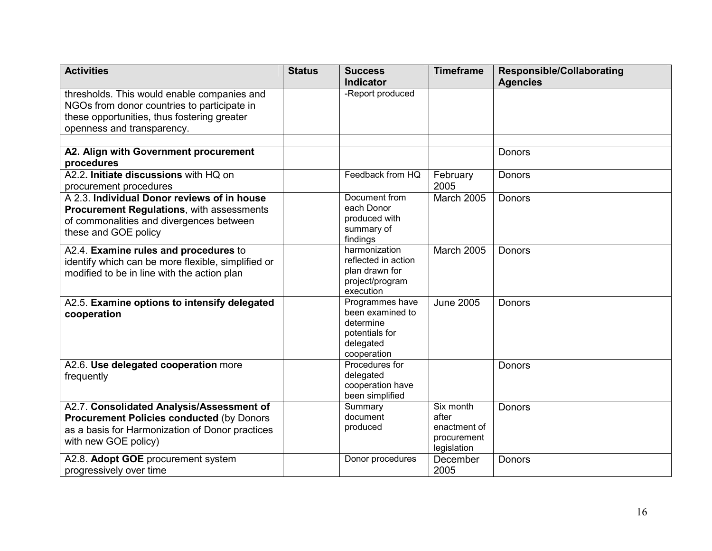| <b>Activities</b>                                  | <b>Status</b> | <b>Success</b>                        | <b>Timeframe</b>   | <b>Responsible/Collaborating</b> |
|----------------------------------------------------|---------------|---------------------------------------|--------------------|----------------------------------|
|                                                    |               | Indicator                             |                    | <b>Agencies</b>                  |
| thresholds. This would enable companies and        |               | -Report produced                      |                    |                                  |
| NGOs from donor countries to participate in        |               |                                       |                    |                                  |
| these opportunities, thus fostering greater        |               |                                       |                    |                                  |
| openness and transparency.                         |               |                                       |                    |                                  |
|                                                    |               |                                       |                    |                                  |
| A2. Align with Government procurement              |               |                                       |                    | Donors                           |
| procedures                                         |               |                                       |                    |                                  |
| A2.2. Initiate discussions with HQ on              |               | Feedback from HQ                      | February           | Donors                           |
| procurement procedures                             |               |                                       | 2005               |                                  |
| A 2.3. Individual Donor reviews of in house        |               | Document from                         | March 2005         | Donors                           |
| <b>Procurement Regulations, with assessments</b>   |               | each Donor                            |                    |                                  |
| of commonalities and divergences between           |               | produced with                         |                    |                                  |
| these and GOE policy                               |               | summary of                            |                    |                                  |
|                                                    |               | findings                              |                    |                                  |
| A2.4. Examine rules and procedures to              |               | harmonization                         | <b>March 2005</b>  | <b>Donors</b>                    |
| identify which can be more flexible, simplified or |               | reflected in action<br>plan drawn for |                    |                                  |
| modified to be in line with the action plan        |               | project/program                       |                    |                                  |
|                                                    |               | execution                             |                    |                                  |
| A2.5. Examine options to intensify delegated       |               | Programmes have                       | <b>June 2005</b>   | Donors                           |
| cooperation                                        |               | been examined to                      |                    |                                  |
|                                                    |               | determine                             |                    |                                  |
|                                                    |               | potentials for                        |                    |                                  |
|                                                    |               | delegated                             |                    |                                  |
|                                                    |               | cooperation                           |                    |                                  |
| A2.6. Use delegated cooperation more               |               | Procedures for                        |                    | Donors                           |
| frequently                                         |               | delegated                             |                    |                                  |
|                                                    |               | cooperation have                      |                    |                                  |
|                                                    |               | been simplified                       |                    |                                  |
| A2.7. Consolidated Analysis/Assessment of          |               | Summary<br>document                   | Six month<br>after | <b>Donors</b>                    |
| <b>Procurement Policies conducted (by Donors</b>   |               | produced                              | enactment of       |                                  |
| as a basis for Harmonization of Donor practices    |               |                                       | procurement        |                                  |
| with new GOE policy)                               |               |                                       | legislation        |                                  |
| A2.8. Adopt GOE procurement system                 |               | Donor procedures                      | December           | Donors                           |
| progressively over time                            |               |                                       | 2005               |                                  |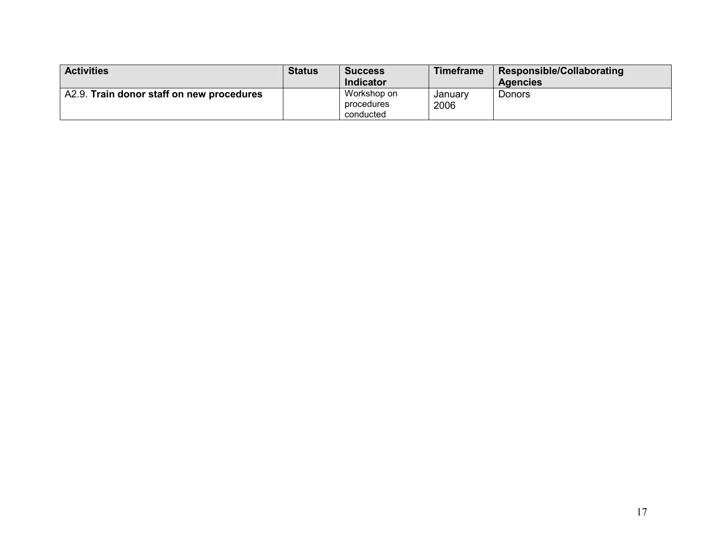| <b>Activities</b>                         | <b>Status</b> | <b>Success</b>   | <b>Timeframe</b> | Responsible/Collaborating |
|-------------------------------------------|---------------|------------------|------------------|---------------------------|
|                                           |               | <b>Indicator</b> |                  | <b>Agencies</b>           |
| A2.9. Train donor staff on new procedures |               | Workshop on      | Januarv          | Donors                    |
|                                           |               | procedures       | 2006             |                           |
|                                           |               | conducted        |                  |                           |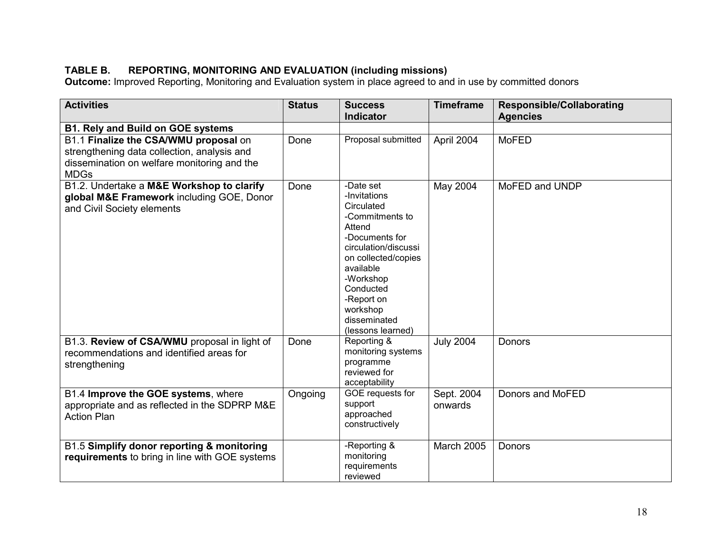TABLE B. REPORTING, MONITORING AND EVALUATION (including missions)<br>Outcome: Improved Reporting, Monitoring and Evaluation system in place agreed to and in use by committed donors

| <b>Activities</b>                                                                                                                                  | <b>Status</b>   | <b>Success</b><br><b>Indicator</b>                                                                                                                                                                                                          | <b>Timeframe</b>               | <b>Responsible/Collaborating</b> |
|----------------------------------------------------------------------------------------------------------------------------------------------------|-----------------|---------------------------------------------------------------------------------------------------------------------------------------------------------------------------------------------------------------------------------------------|--------------------------------|----------------------------------|
|                                                                                                                                                    |                 |                                                                                                                                                                                                                                             |                                | <b>Agencies</b>                  |
| <b>B1. Rely and Build on GOE systems</b>                                                                                                           |                 |                                                                                                                                                                                                                                             |                                |                                  |
| B1.1 Finalize the CSA/WMU proposal on<br>strengthening data collection, analysis and<br>dissemination on welfare monitoring and the<br><b>MDGs</b> | Done            | Proposal submitted                                                                                                                                                                                                                          | April 2004                     | <b>MoFED</b>                     |
| B1.2. Undertake a M&E Workshop to clarify<br>global M&E Framework including GOE, Donor<br>and Civil Society elements                               | Done            | -Date set<br>-Invitations<br>Circulated<br>-Commitments to<br>Attend<br>-Documents for<br>circulation/discussi<br>on collected/copies<br>available<br>-Workshop<br>Conducted<br>-Report on<br>workshop<br>disseminated<br>(lessons learned) | May 2004                       | MoFED and UNDP                   |
| B1.3. Review of CSA/WMU proposal in light of<br>recommendations and identified areas for<br>strengthening<br>B1.4 Improve the GOE systems, where   | Done<br>Ongoing | Reporting &<br>monitoring systems<br>programme<br>reviewed for<br>acceptability<br>GOE requests for                                                                                                                                         | <b>July 2004</b><br>Sept. 2004 | Donors<br>Donors and MoFED       |
| appropriate and as reflected in the SDPRP M&E<br><b>Action Plan</b>                                                                                |                 | support<br>approached<br>constructively                                                                                                                                                                                                     | onwards                        |                                  |
| B1.5 Simplify donor reporting & monitoring<br>requirements to bring in line with GOE systems                                                       |                 | -Reporting &<br>monitoring<br>requirements<br>reviewed                                                                                                                                                                                      | March 2005                     | Donors                           |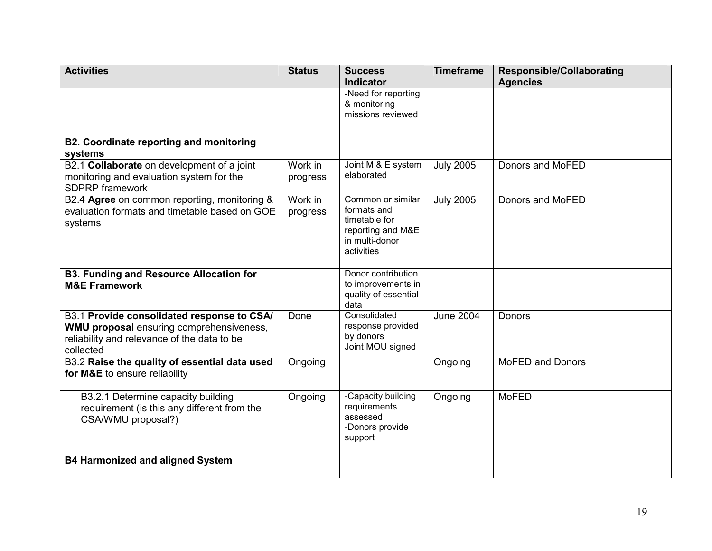| <b>Activities</b>                                                          | <b>Status</b> | <b>Success</b>                           | <b>Timeframe</b> | <b>Responsible/Collaborating</b> |
|----------------------------------------------------------------------------|---------------|------------------------------------------|------------------|----------------------------------|
|                                                                            |               | Indicator<br>-Need for reporting         |                  | <b>Agencies</b>                  |
|                                                                            |               | & monitoring                             |                  |                                  |
|                                                                            |               | missions reviewed                        |                  |                                  |
|                                                                            |               |                                          |                  |                                  |
| <b>B2. Coordinate reporting and monitoring</b>                             |               |                                          |                  |                                  |
| systems                                                                    |               |                                          |                  |                                  |
| B2.1 Collaborate on development of a joint                                 | Work in       | Joint M & E system                       | <b>July 2005</b> | Donors and MoFED                 |
| monitoring and evaluation system for the<br><b>SDPRP</b> framework         | progress      | elaborated                               |                  |                                  |
| B2.4 Agree on common reporting, monitoring &                               | Work in       | Common or similar                        | <b>July 2005</b> | Donors and MoFED                 |
| evaluation formats and timetable based on GOE                              | progress      | formats and<br>timetable for             |                  |                                  |
| systems                                                                    |               | reporting and M&E                        |                  |                                  |
|                                                                            |               | in multi-donor                           |                  |                                  |
|                                                                            |               | activities                               |                  |                                  |
|                                                                            |               |                                          |                  |                                  |
| <b>B3. Funding and Resource Allocation for</b><br><b>M&amp;E Framework</b> |               | Donor contribution<br>to improvements in |                  |                                  |
|                                                                            |               | quality of essential                     |                  |                                  |
|                                                                            |               | data                                     |                  |                                  |
| B3.1 Provide consolidated response to CSA/                                 | Done          | Consolidated                             | <b>June 2004</b> | Donors                           |
| WMU proposal ensuring comprehensiveness,                                   |               | response provided<br>by donors           |                  |                                  |
| reliability and relevance of the data to be                                |               | Joint MOU signed                         |                  |                                  |
| collected<br>B3.2 Raise the quality of essential data used                 | Ongoing       |                                          |                  | <b>MoFED and Donors</b>          |
| for M&E to ensure reliability                                              |               |                                          | Ongoing          |                                  |
|                                                                            |               |                                          |                  |                                  |
| B3.2.1 Determine capacity building                                         | Ongoing       | -Capacity building                       | Ongoing          | <b>MoFED</b>                     |
| requirement (is this any different from the                                |               | requirements                             |                  |                                  |
| CSA/WMU proposal?)                                                         |               | assessed<br>-Donors provide              |                  |                                  |
|                                                                            |               | support                                  |                  |                                  |
|                                                                            |               |                                          |                  |                                  |
| <b>B4 Harmonized and aligned System</b>                                    |               |                                          |                  |                                  |
|                                                                            |               |                                          |                  |                                  |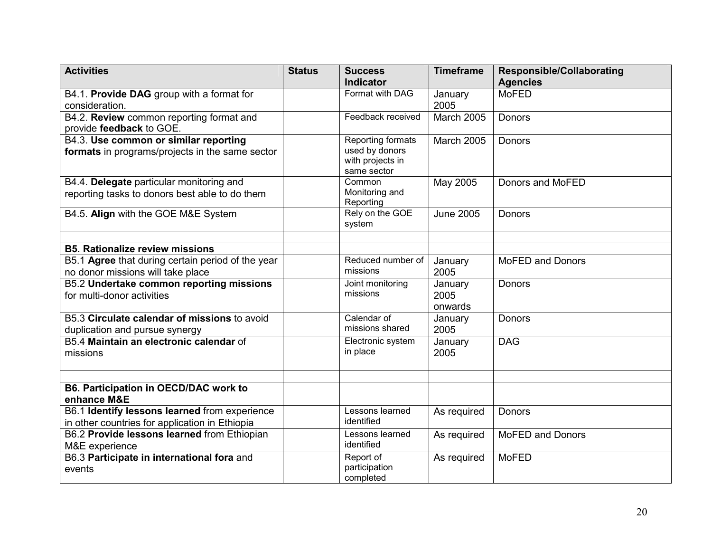| <b>Activities</b>                                                                               | <b>Status</b> | <b>Success</b>                                                         | <b>Timeframe</b>           | <b>Responsible/Collaborating</b> |
|-------------------------------------------------------------------------------------------------|---------------|------------------------------------------------------------------------|----------------------------|----------------------------------|
|                                                                                                 |               | <b>Indicator</b>                                                       |                            | <b>Agencies</b>                  |
| B4.1. Provide DAG group with a format for<br>consideration.                                     |               | Format with DAG                                                        | January<br>2005            | <b>MoFED</b>                     |
| B4.2. Review common reporting format and<br>provide feedback to GOE.                            |               | Feedback received                                                      | <b>March 2005</b>          | <b>Donors</b>                    |
| B4.3. Use common or similar reporting<br>formats in programs/projects in the same sector        |               | Reporting formats<br>used by donors<br>with projects in<br>same sector | March 2005                 | Donors                           |
| B4.4. Delegate particular monitoring and<br>reporting tasks to donors best able to do them      |               | Common<br>Monitoring and<br>Reporting                                  | May 2005                   | Donors and MoFED                 |
| B4.5. Align with the GOE M&E System                                                             |               | Rely on the GOE<br>system                                              | <b>June 2005</b>           | <b>Donors</b>                    |
| <b>B5. Rationalize review missions</b>                                                          |               |                                                                        |                            |                                  |
|                                                                                                 |               | Reduced number of                                                      |                            | <b>MoFED and Donors</b>          |
| B5.1 Agree that during certain period of the year<br>no donor missions will take place          |               | missions                                                               | January<br>2005            |                                  |
| B5.2 Undertake common reporting missions<br>for multi-donor activities                          |               | Joint monitoring<br>missions                                           | January<br>2005<br>onwards | Donors                           |
| B5.3 Circulate calendar of missions to avoid<br>duplication and pursue synergy                  |               | Calendar of<br>missions shared                                         | January<br>2005            | <b>Donors</b>                    |
| B5.4 Maintain an electronic calendar of<br>missions                                             |               | Electronic system<br>in place                                          | January<br>2005            | <b>DAG</b>                       |
|                                                                                                 |               |                                                                        |                            |                                  |
| B6. Participation in OECD/DAC work to<br>enhance M&E                                            |               |                                                                        |                            |                                  |
| B6.1 Identify lessons learned from experience<br>in other countries for application in Ethiopia |               | Lessons learned<br>identified                                          | As required                | Donors                           |
| B6.2 Provide lessons learned from Ethiopian<br>M&E experience                                   |               | Lessons learned<br>identified                                          | As required                | <b>MoFED and Donors</b>          |
| B6.3 Participate in international fora and<br>events                                            |               | Report of<br>participation<br>completed                                | As required                | <b>MoFED</b>                     |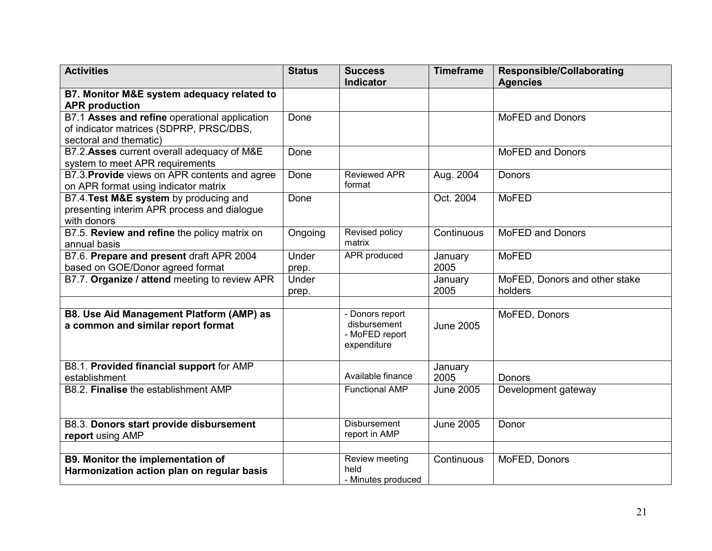| <b>Activities</b>                               | <b>Status</b> | <b>Success</b>                | <b>Timeframe</b> | <b>Responsible/Collaborating</b> |
|-------------------------------------------------|---------------|-------------------------------|------------------|----------------------------------|
|                                                 |               | <b>Indicator</b>              |                  | <b>Agencies</b>                  |
| B7. Monitor M&E system adequacy related to      |               |                               |                  |                                  |
| <b>APR</b> production                           |               |                               |                  |                                  |
| B7.1 Asses and refine operational application   | Done          |                               |                  | <b>MoFED and Donors</b>          |
| of indicator matrices (SDPRP, PRSC/DBS,         |               |                               |                  |                                  |
| sectoral and thematic)                          |               |                               |                  |                                  |
| B7.2. Asses current overall adequacy of M&E     | Done          |                               |                  | <b>MoFED and Donors</b>          |
| system to meet APR requirements                 |               |                               |                  |                                  |
| B7.3. Provide views on APR contents and agree   | Done          | <b>Reviewed APR</b>           | Aug. 2004        | <b>Donors</b>                    |
| on APR format using indicator matrix            |               | format                        |                  |                                  |
| B7.4. Test M&E system by producing and          | Done          |                               | Oct. 2004        | <b>MoFED</b>                     |
| presenting interim APR process and dialogue     |               |                               |                  |                                  |
| with donors                                     |               |                               |                  |                                  |
| B7.5. Review and refine the policy matrix on    | Ongoing       | Revised policy                | Continuous       | <b>MoFED and Donors</b>          |
| annual basis                                    |               | matrix                        |                  |                                  |
| B7.6. Prepare and present draft APR 2004        | Under         | <b>APR</b> produced           | January          | <b>MoFED</b>                     |
| based on GOE/Donor agreed format                | prep.         |                               | 2005             |                                  |
| B7.7. Organize / attend meeting to review APR   | Under         |                               | January          | MoFED, Donors and other stake    |
|                                                 | prep.         |                               | 2005             | holders                          |
|                                                 |               |                               |                  |                                  |
| <b>B8. Use Aid Management Platform (AMP) as</b> |               | - Donors report               |                  | MoFED, Donors                    |
| a common and similar report format              |               | disbursement                  | <b>June 2005</b> |                                  |
|                                                 |               | - MoFED report<br>expenditure |                  |                                  |
|                                                 |               |                               |                  |                                  |
| B8.1. Provided financial support for AMP        |               |                               | January          |                                  |
| establishment                                   |               | Available finance             | 2005             | <b>Donors</b>                    |
| B8.2. Finalise the establishment AMP            |               | <b>Functional AMP</b>         | <b>June 2005</b> | Development gateway              |
|                                                 |               |                               |                  |                                  |
|                                                 |               |                               |                  |                                  |
| B8.3. Donors start provide disbursement         |               | <b>Disbursement</b>           | <b>June 2005</b> | Donor                            |
| report using AMP                                |               | report in AMP                 |                  |                                  |
|                                                 |               |                               |                  |                                  |
| B9. Monitor the implementation of               |               | Review meeting                | Continuous       | MoFED, Donors                    |
| Harmonization action plan on regular basis      |               | held                          |                  |                                  |
|                                                 |               | - Minutes produced            |                  |                                  |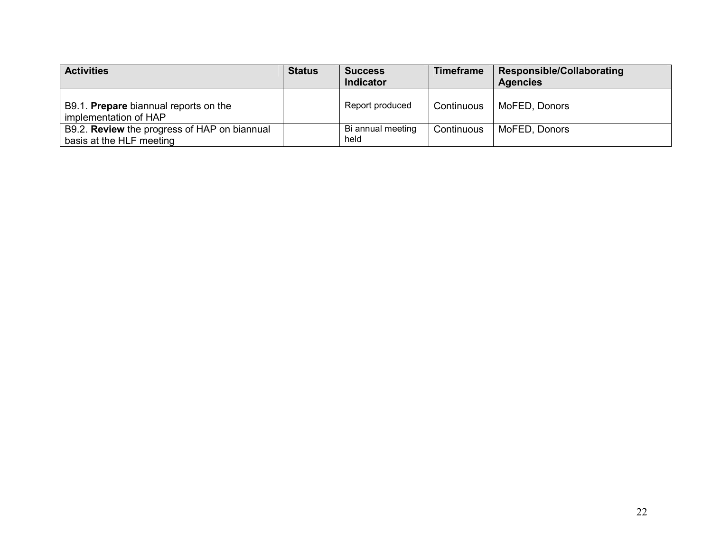| <b>Activities</b>                                   | <b>Status</b> | <b>Success</b>    | <b>Timeframe</b> | Responsible/Collaborating |
|-----------------------------------------------------|---------------|-------------------|------------------|---------------------------|
|                                                     |               | <b>Indicator</b>  |                  | <b>Agencies</b>           |
|                                                     |               |                   |                  |                           |
| B9.1. Prepare biannual reports on the               |               | Report produced   | Continuous       | MoFED, Donors             |
| implementation of HAP                               |               |                   |                  |                           |
| B9.2. <b>Review</b> the progress of HAP on biannual |               | Bi annual meeting | Continuous       | MoFED, Donors             |
| basis at the HLF meeting                            |               | held              |                  |                           |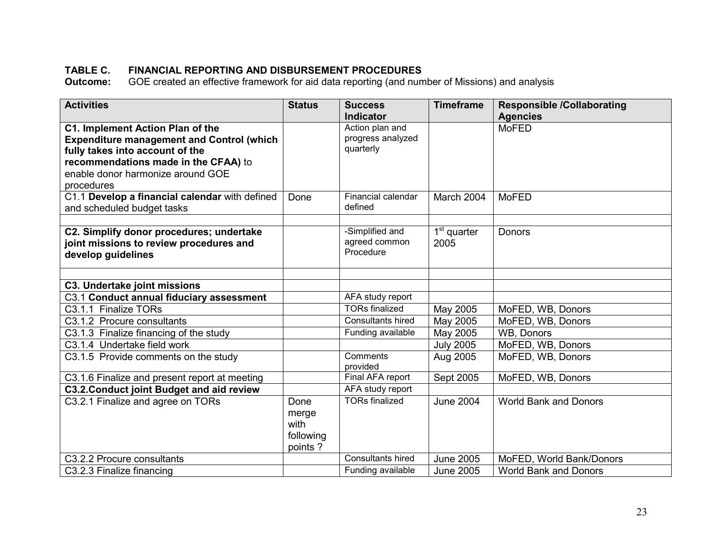# TABLE C. FINANCIAL REPORTING AND DISBURSEMENT PROCEDURES

**Outcome:** GOE created an effective framework for aid data reporting (and number of Missions) and analysis

| <b>Activities</b>                                | <b>Status</b> | <b>Success</b>             | <b>Timeframe</b> | <b>Responsible /Collaborating</b> |
|--------------------------------------------------|---------------|----------------------------|------------------|-----------------------------------|
|                                                  |               | <b>Indicator</b>           |                  | <b>Agencies</b>                   |
| C1. Implement Action Plan of the                 |               | Action plan and            |                  | <b>MoFED</b>                      |
| <b>Expenditure management and Control (which</b> |               | progress analyzed          |                  |                                   |
| fully takes into account of the                  |               | quarterly                  |                  |                                   |
| recommendations made in the CFAA) to             |               |                            |                  |                                   |
| enable donor harmonize around GOE                |               |                            |                  |                                   |
| procedures                                       |               |                            |                  |                                   |
| C1.1 Develop a financial calendar with defined   | Done          | Financial calendar         | March 2004       | <b>MoFED</b>                      |
| and scheduled budget tasks                       |               | defined                    |                  |                                   |
|                                                  |               |                            |                  |                                   |
| C2. Simplify donor procedures; undertake         |               | -Simplified and            | $1st$ quarter    | Donors                            |
| joint missions to review procedures and          |               | agreed common<br>Procedure | 2005             |                                   |
| develop guidelines                               |               |                            |                  |                                   |
|                                                  |               |                            |                  |                                   |
| <b>C3. Undertake joint missions</b>              |               |                            |                  |                                   |
| C3.1 Conduct annual fiduciary assessment         |               | AFA study report           |                  |                                   |
| C3.1.1 Finalize TORs                             |               | <b>TORs finalized</b>      | May 2005         | MoFED, WB, Donors                 |
| C3.1.2 Procure consultants                       |               | Consultants hired          | May 2005         | MoFED, WB, Donors                 |
| C3.1.3 Finalize financing of the study           |               | Funding available          | May 2005         | WB, Donors                        |
| C3.1.4 Undertake field work                      |               |                            | <b>July 2005</b> | MoFED, WB, Donors                 |
| C3.1.5 Provide comments on the study             |               | Comments                   | Aug 2005         | MoFED, WB, Donors                 |
|                                                  |               | provided                   |                  |                                   |
| C3.1.6 Finalize and present report at meeting    |               | Final AFA report           | Sept 2005        | MoFED, WB, Donors                 |
| <b>C3.2. Conduct joint Budget and aid review</b> |               | AFA study report           |                  |                                   |
| C3.2.1 Finalize and agree on TORs                | Done          | <b>TORs finalized</b>      | <b>June 2004</b> | <b>World Bank and Donors</b>      |
|                                                  | merge         |                            |                  |                                   |
|                                                  | with          |                            |                  |                                   |
|                                                  | following     |                            |                  |                                   |
|                                                  | points?       |                            |                  |                                   |
| C3.2.2 Procure consultants                       |               | Consultants hired          | <b>June 2005</b> | MoFED, World Bank/Donors          |
| C3.2.3 Finalize financing                        |               | Funding available          | <b>June 2005</b> | <b>World Bank and Donors</b>      |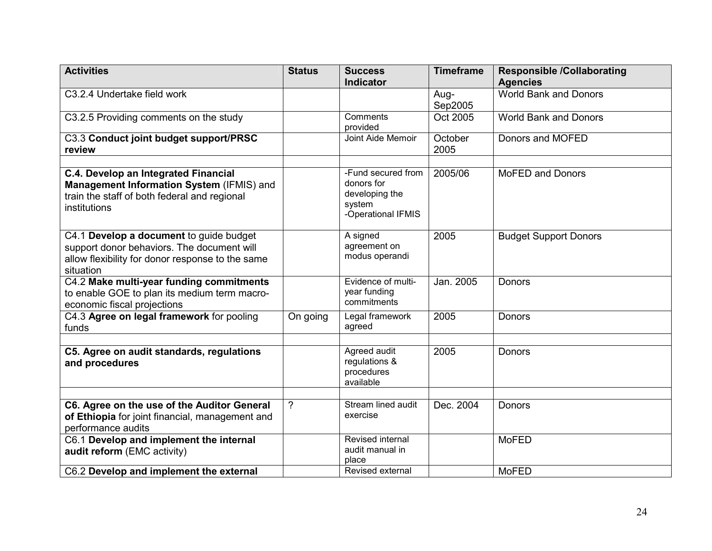| <b>Activities</b>                                                                                                                                      | <b>Status</b>  | <b>Success</b><br><b>Indicator</b>                                                 | <b>Timeframe</b> | <b>Responsible /Collaborating</b><br><b>Agencies</b> |
|--------------------------------------------------------------------------------------------------------------------------------------------------------|----------------|------------------------------------------------------------------------------------|------------------|------------------------------------------------------|
| C3.2.4 Undertake field work                                                                                                                            |                |                                                                                    | Aug-<br>Sep2005  | <b>World Bank and Donors</b>                         |
| C3.2.5 Providing comments on the study                                                                                                                 |                | Comments<br>provided                                                               | Oct 2005         | <b>World Bank and Donors</b>                         |
| C3.3 Conduct joint budget support/PRSC<br>review                                                                                                       |                | Joint Aide Memoir                                                                  | October<br>2005  | Donors and MOFED                                     |
| C.4. Develop an Integrated Financial<br>Management Information System (IFMIS) and<br>train the staff of both federal and regional<br>institutions      |                | -Fund secured from<br>donors for<br>developing the<br>system<br>-Operational IFMIS | 2005/06          | <b>MoFED and Donors</b>                              |
| C4.1 Develop a document to guide budget<br>support donor behaviors. The document will<br>allow flexibility for donor response to the same<br>situation |                | A signed<br>agreement on<br>modus operandi                                         | 2005             | <b>Budget Support Donors</b>                         |
| C4.2 Make multi-year funding commitments<br>to enable GOE to plan its medium term macro-<br>economic fiscal projections                                |                | Evidence of multi-<br>year funding<br>commitments                                  | Jan. 2005        | Donors                                               |
| C4.3 Agree on legal framework for pooling<br>funds                                                                                                     | On going       | Legal framework<br>agreed                                                          | 2005             | Donors                                               |
| C5. Agree on audit standards, regulations<br>and procedures                                                                                            |                | Agreed audit<br>regulations &<br>procedures<br>available                           | 2005             | Donors                                               |
| C6. Agree on the use of the Auditor General<br>of Ethiopia for joint financial, management and<br>performance audits                                   | $\overline{?}$ | Stream lined audit<br>exercise                                                     | Dec. 2004        | Donors                                               |
| C6.1 Develop and implement the internal<br>audit reform (EMC activity)                                                                                 |                | Revised internal<br>audit manual in<br>place                                       |                  | <b>MoFED</b>                                         |
| C6.2 Develop and implement the external                                                                                                                |                | Revised external                                                                   |                  | <b>MoFED</b>                                         |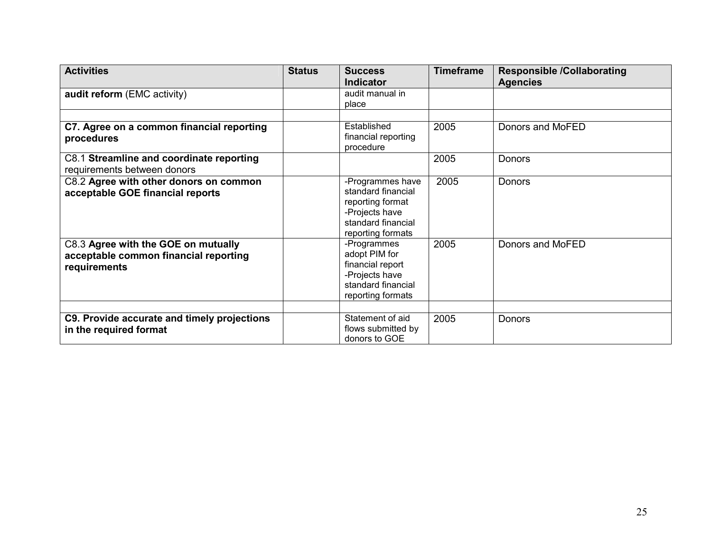| <b>Activities</b>                                                                            | <b>Status</b> | <b>Success</b><br><b>Indicator</b>                                                                                      | <b>Timeframe</b> | <b>Responsible /Collaborating</b><br><b>Agencies</b> |
|----------------------------------------------------------------------------------------------|---------------|-------------------------------------------------------------------------------------------------------------------------|------------------|------------------------------------------------------|
| audit reform (EMC activity)                                                                  |               | audit manual in<br>place                                                                                                |                  |                                                      |
|                                                                                              |               |                                                                                                                         |                  |                                                      |
| C7. Agree on a common financial reporting<br>procedures                                      |               | Established<br>financial reporting<br>procedure                                                                         | 2005             | Donors and MoFED                                     |
| C8.1 Streamline and coordinate reporting<br>requirements between donors                      |               |                                                                                                                         | 2005             | <b>Donors</b>                                        |
| C8.2 Agree with other donors on common<br>acceptable GOE financial reports                   |               | -Programmes have<br>standard financial<br>reporting format<br>-Projects have<br>standard financial<br>reporting formats | 2005             | <b>Donors</b>                                        |
| C8.3 Agree with the GOE on mutually<br>acceptable common financial reporting<br>requirements |               | -Programmes<br>adopt PIM for<br>financial report<br>-Projects have<br>standard financial<br>reporting formats           | 2005             | Donors and MoFED                                     |
| C9. Provide accurate and timely projections<br>in the required format                        |               | Statement of aid<br>flows submitted by<br>donors to GOE                                                                 | 2005             | Donors                                               |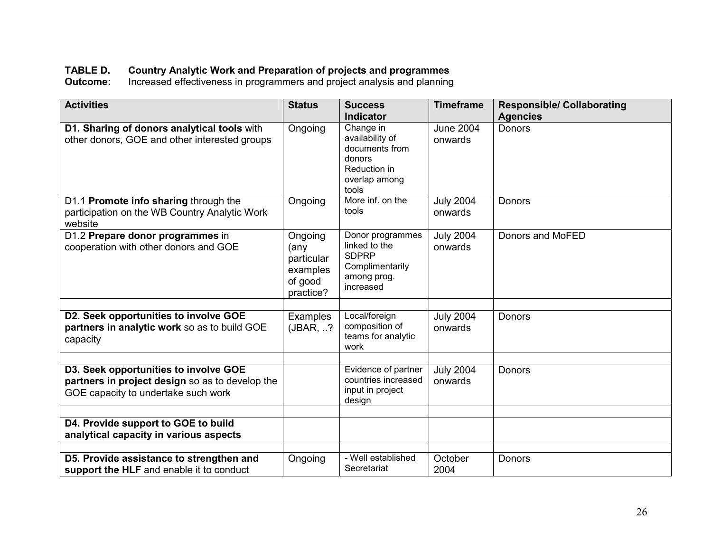TABLE D. Country Analytic Work and Preparation of projects and programmes Outcome: Increased effectiveness in programmers and project analysis and planning

| <b>Activities</b>                                                                                                               | <b>Status</b>                                                     | <b>Success</b>                                                                                     | <b>Timeframe</b>            | <b>Responsible/ Collaborating</b> |
|---------------------------------------------------------------------------------------------------------------------------------|-------------------------------------------------------------------|----------------------------------------------------------------------------------------------------|-----------------------------|-----------------------------------|
|                                                                                                                                 |                                                                   | <b>Indicator</b>                                                                                   |                             | <b>Agencies</b>                   |
| D1. Sharing of donors analytical tools with<br>other donors, GOE and other interested groups                                    | Ongoing                                                           | Change in<br>availability of<br>documents from<br>donors<br>Reduction in<br>overlap among<br>tools | <b>June 2004</b><br>onwards | <b>Donors</b>                     |
| D1.1 Promote info sharing through the<br>participation on the WB Country Analytic Work<br>website                               | Ongoing                                                           | More inf. on the<br>tools                                                                          | <b>July 2004</b><br>onwards | Donors                            |
| D1.2 Prepare donor programmes in<br>cooperation with other donors and GOE                                                       | Ongoing<br>(any<br>particular<br>examples<br>of good<br>practice? | Donor programmes<br>linked to the<br><b>SDPRP</b><br>Complimentarily<br>among prog.<br>increased   | <b>July 2004</b><br>onwards | Donors and MoFED                  |
| D2. Seek opportunities to involve GOE<br>partners in analytic work so as to build GOE<br>capacity                               | Examples<br>(JBAR, ?                                              | Local/foreign<br>composition of<br>teams for analytic<br>work                                      | <b>July 2004</b><br>onwards | Donors                            |
| D3. Seek opportunities to involve GOE<br>partners in project design so as to develop the<br>GOE capacity to undertake such work |                                                                   | Evidence of partner<br>countries increased<br>input in project<br>design                           | <b>July 2004</b><br>onwards | Donors                            |
| D4. Provide support to GOE to build<br>analytical capacity in various aspects                                                   |                                                                   |                                                                                                    |                             |                                   |
| D5. Provide assistance to strengthen and<br>support the HLF and enable it to conduct                                            | Ongoing                                                           | - Well established<br>Secretariat                                                                  | October<br>2004             | Donors                            |